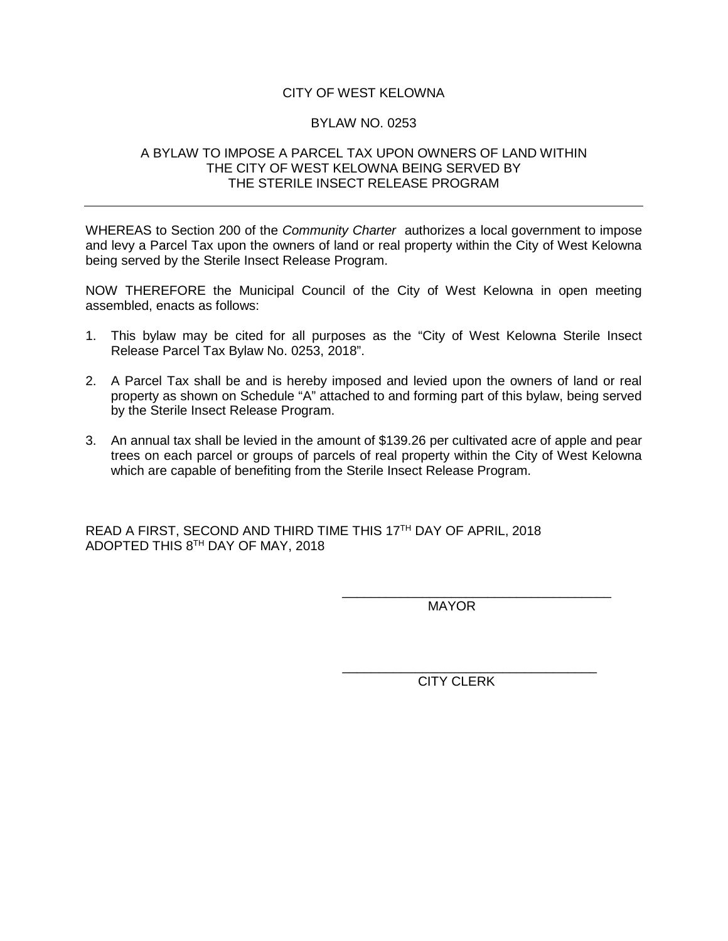### CITY OF WEST KELOWNA

#### BYLAW NO. 0253

#### A BYLAW TO IMPOSE A PARCEL TAX UPON OWNERS OF LAND WITHIN THE CITY OF WEST KELOWNA BEING SERVED BY THE STERILE INSECT RELEASE PROGRAM

WHEREAS to Section 200 of the *Community Charter* authorizes a local government to impose and levy a Parcel Tax upon the owners of land or real property within the City of West Kelowna being served by the Sterile Insect Release Program.

NOW THEREFORE the Municipal Council of the City of West Kelowna in open meeting assembled, enacts as follows:

- 1. This bylaw may be cited for all purposes as the "City of West Kelowna Sterile Insect Release Parcel Tax Bylaw No. 0253, 2018".
- 2. A Parcel Tax shall be and is hereby imposed and levied upon the owners of land or real property as shown on Schedule "A" attached to and forming part of this bylaw, being served by the Sterile Insect Release Program.
- 3. An annual tax shall be levied in the amount of \$139.26 per cultivated acre of apple and pear trees on each parcel or groups of parcels of real property within the City of West Kelowna which are capable of benefiting from the Sterile Insect Release Program.

READ A FIRST, SECOND AND THIRD TIME THIS 17TH DAY OF APRIL, 2018 ADOPTED THIS 8TH DAY OF MAY, 2018

> \_\_\_\_\_\_\_\_\_\_\_\_\_\_\_\_\_\_\_\_\_\_\_\_\_\_\_\_\_\_\_\_\_\_\_\_\_ MAYOR

\_\_\_\_\_\_\_\_\_\_\_\_\_\_\_\_\_\_\_\_\_\_\_\_\_\_\_\_\_\_\_\_\_\_\_ CITY CLERK